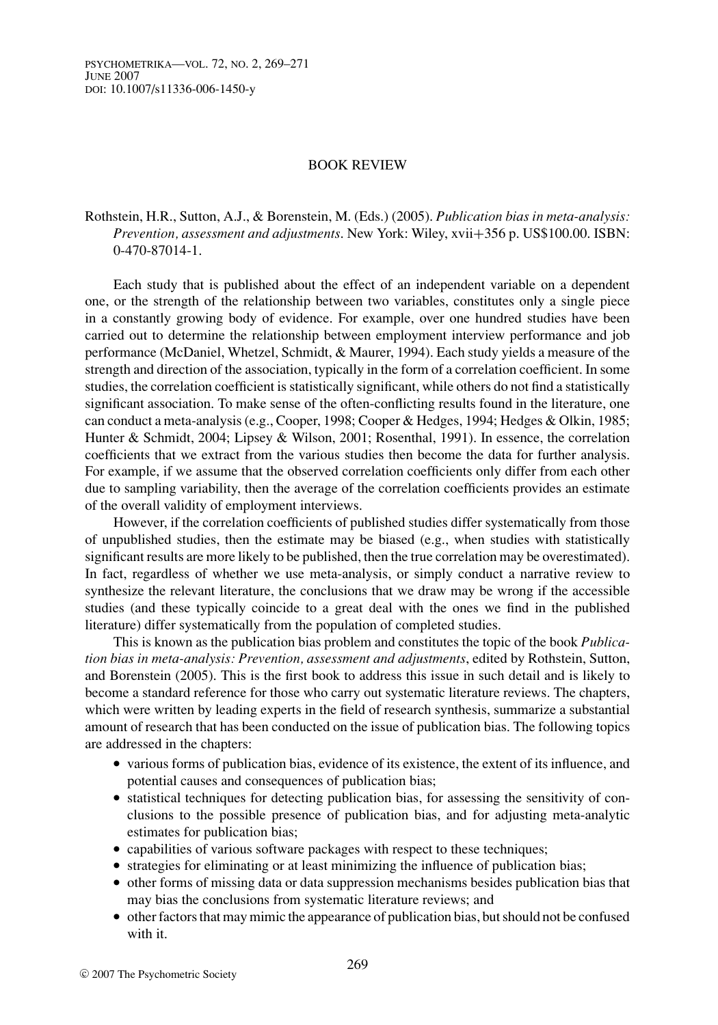PSYCHOMETRIKA—VOL. 72, NO. 2, 269–271 JUNE 2007 DOI: 10.1007/s11336-006-1450-y

## BOOK REVIEW

# Rothstein, H.R., Sutton, A.J., & Borenstein, M. (Eds.) (2005). *Publication bias in meta-analysis: Prevention, assessment and adjustments*. New York: Wiley, xvii+356 p. US\$100.00. ISBN: 0-470-87014-1.

Each study that is published about the effect of an independent variable on a dependent one, or the strength of the relationship between two variables, constitutes only a single piece in a constantly growing body of evidence. For example, over one hundred studies have been carried out to determine the relationship between employment interview performance and job performance (McDaniel, Whetzel, Schmidt, & Maurer, 1994). Each study yields a measure of the strength and direction of the association, typically in the form of a correlation coefficient. In some studies, the correlation coefficient is statistically significant, while others do not find a statistically significant association. To make sense of the often-conflicting results found in the literature, one can conduct a meta-analysis (e.g., Cooper, 1998; Cooper & Hedges, 1994; Hedges & Olkin, 1985; Hunter & Schmidt, 2004; Lipsey & Wilson, 2001; Rosenthal, 1991). In essence, the correlation coefficients that we extract from the various studies then become the data for further analysis. For example, if we assume that the observed correlation coefficients only differ from each other due to sampling variability, then the average of the correlation coefficients provides an estimate of the overall validity of employment interviews.

However, if the correlation coefficients of published studies differ systematically from those of unpublished studies, then the estimate may be biased (e.g., when studies with statistically significant results are more likely to be published, then the true correlation may be overestimated). In fact, regardless of whether we use meta-analysis, or simply conduct a narrative review to synthesize the relevant literature, the conclusions that we draw may be wrong if the accessible studies (and these typically coincide to a great deal with the ones we find in the published literature) differ systematically from the population of completed studies.

This is known as the publication bias problem and constitutes the topic of the book *Publication bias in meta-analysis: Prevention, assessment and adjustments*, edited by Rothstein, Sutton, and Borenstein (2005). This is the first book to address this issue in such detail and is likely to become a standard reference for those who carry out systematic literature reviews. The chapters, which were written by leading experts in the field of research synthesis, summarize a substantial amount of research that has been conducted on the issue of publication bias. The following topics are addressed in the chapters:

- various forms of publication bias, evidence of its existence, the extent of its influence, and potential causes and consequences of publication bias;
- statistical techniques for detecting publication bias, for assessing the sensitivity of conclusions to the possible presence of publication bias, and for adjusting meta-analytic estimates for publication bias;
- capabilities of various software packages with respect to these techniques;
- strategies for eliminating or at least minimizing the influence of publication bias;
- other forms of missing data or data suppression mechanisms besides publication bias that may bias the conclusions from systematic literature reviews; and
- other factors that may mimic the appearance of publication bias, but should not be confused with it.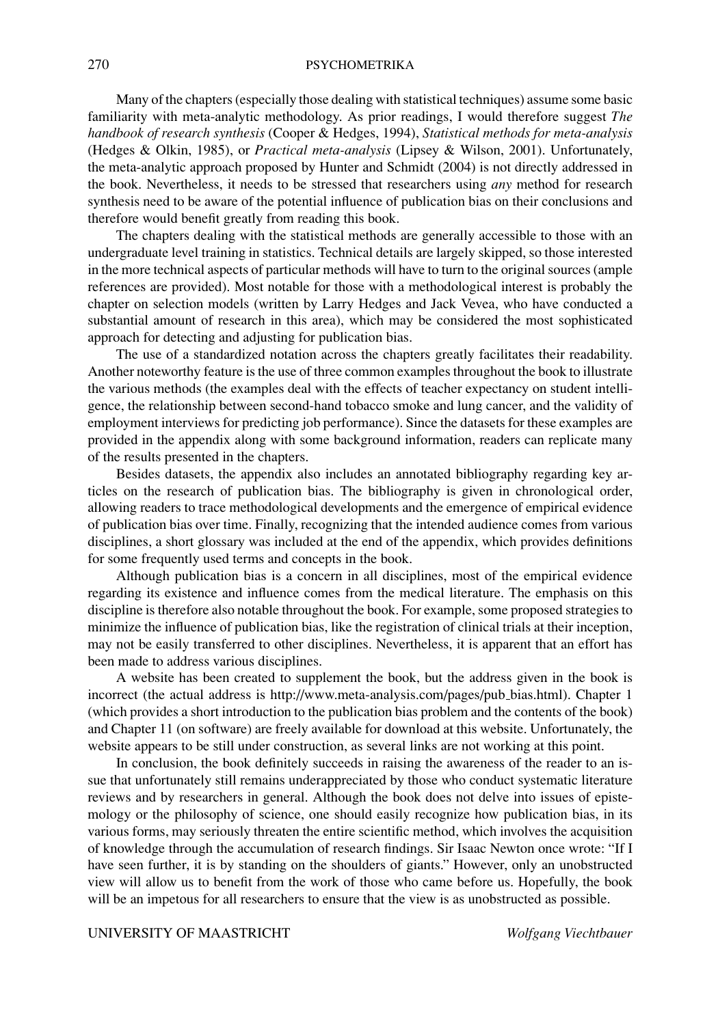## 270 PSYCHOMETRIKA

Many of the chapters (especially those dealing with statistical techniques) assume some basic familiarity with meta-analytic methodology. As prior readings, I would therefore suggest *The handbook of research synthesis* (Cooper & Hedges, 1994), *Statistical methods for meta-analysis* (Hedges & Olkin, 1985), or *Practical meta-analysis* (Lipsey & Wilson, 2001). Unfortunately, the meta-analytic approach proposed by Hunter and Schmidt (2004) is not directly addressed in the book. Nevertheless, it needs to be stressed that researchers using *any* method for research synthesis need to be aware of the potential influence of publication bias on their conclusions and therefore would benefit greatly from reading this book.

The chapters dealing with the statistical methods are generally accessible to those with an undergraduate level training in statistics. Technical details are largely skipped, so those interested in the more technical aspects of particular methods will have to turn to the original sources (ample references are provided). Most notable for those with a methodological interest is probably the chapter on selection models (written by Larry Hedges and Jack Vevea, who have conducted a substantial amount of research in this area), which may be considered the most sophisticated approach for detecting and adjusting for publication bias.

The use of a standardized notation across the chapters greatly facilitates their readability. Another noteworthy feature is the use of three common examples throughout the book to illustrate the various methods (the examples deal with the effects of teacher expectancy on student intelligence, the relationship between second-hand tobacco smoke and lung cancer, and the validity of employment interviews for predicting job performance). Since the datasets for these examples are provided in the appendix along with some background information, readers can replicate many of the results presented in the chapters.

Besides datasets, the appendix also includes an annotated bibliography regarding key articles on the research of publication bias. The bibliography is given in chronological order, allowing readers to trace methodological developments and the emergence of empirical evidence of publication bias over time. Finally, recognizing that the intended audience comes from various disciplines, a short glossary was included at the end of the appendix, which provides definitions for some frequently used terms and concepts in the book.

Although publication bias is a concern in all disciplines, most of the empirical evidence regarding its existence and influence comes from the medical literature. The emphasis on this discipline is therefore also notable throughout the book. For example, some proposed strategies to minimize the influence of publication bias, like the registration of clinical trials at their inception, may not be easily transferred to other disciplines. Nevertheless, it is apparent that an effort has been made to address various disciplines.

A website has been created to supplement the book, but the address given in the book is incorrect (the actual address is http://www.meta-analysis.com/pages/pub bias.html). Chapter 1 (which provides a short introduction to the publication bias problem and the contents of the book) and Chapter 11 (on software) are freely available for download at this website. Unfortunately, the website appears to be still under construction, as several links are not working at this point.

In conclusion, the book definitely succeeds in raising the awareness of the reader to an issue that unfortunately still remains underappreciated by those who conduct systematic literature reviews and by researchers in general. Although the book does not delve into issues of epistemology or the philosophy of science, one should easily recognize how publication bias, in its various forms, may seriously threaten the entire scientific method, which involves the acquisition of knowledge through the accumulation of research findings. Sir Isaac Newton once wrote: "If I have seen further, it is by standing on the shoulders of giants." However, only an unobstructed view will allow us to benefit from the work of those who came before us. Hopefully, the book will be an impetous for all researchers to ensure that the view is as unobstructed as possible.

UNIVERSITY OF MAASTRICHT *Wolfgang Viechtbauer*